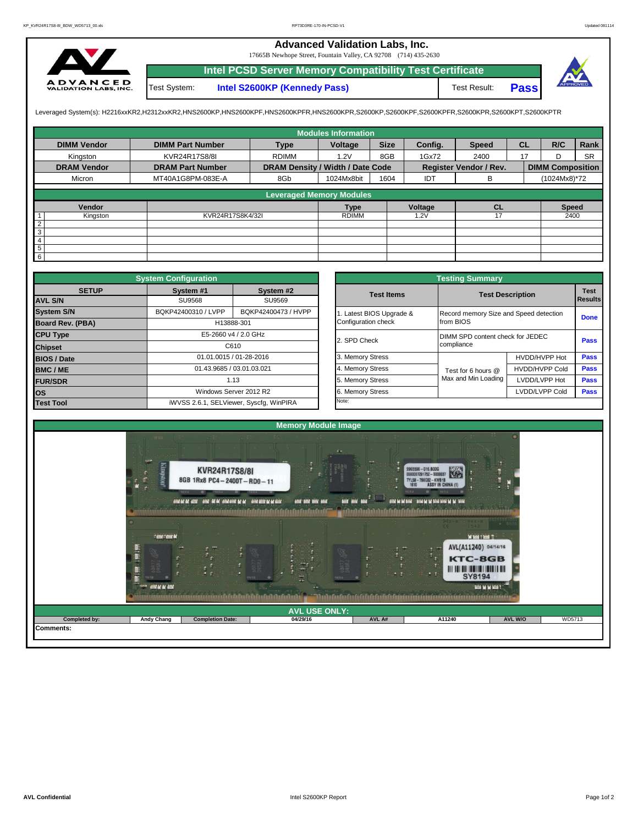## **Advanced Validation Labs, Inc.**

17665B Newhope Street, Fountain Valley, CA 92708 (714) 435-2630



Test System: **Intel S2600KP (Kennedy Pass)** Test Result: **Intel PCSD Server Memory Compatibility Test Certificate Pass**



Leveraged System(s): H2216xxKR2,H2312xxKR2,HNS2600KP,HNS2600KPF,HNS2600KPFR,HNS2600KPR,S2600KP,S2600KPF,S2600KPFR,S2600KPR,S2600KPT,S2600KPTR

|                    |                         |                                  | <b>Modules Information</b> |             |         |                        |           |                         |           |
|--------------------|-------------------------|----------------------------------|----------------------------|-------------|---------|------------------------|-----------|-------------------------|-----------|
| <b>DIMM Vendor</b> | <b>DIMM Part Number</b> | <b>Type</b>                      | Voltage                    | <b>Size</b> | Config. | <b>Speed</b>           | <b>CL</b> | R/C                     | Rank      |
| Kingston           | KVR24R17S8/8I           | <b>RDIMM</b>                     | 1.2V                       | 8GB         | 1Gx72   | 2400                   | 17        | D                       | <b>SR</b> |
| <b>DRAM Vendor</b> | <b>DRAM Part Number</b> | DRAM Density / Width / Date Code |                            |             |         | Register Vendor / Rev. |           | <b>DIMM Composition</b> |           |
| Micron             | MT40A1G8PM-083E-A       | 8Gb                              | 1024Mx8bit                 | 1604        | IDT     | B                      |           | (1024Mx8)*72            |           |
|                    |                         | <b>Leveraged Memory Modules</b>  |                            |             |         |                        |           |                         |           |
|                    |                         |                                  |                            |             |         |                        |           |                         |           |
| Vendor             |                         |                                  | <b>Type</b>                |             | Voltage | CL                     |           | <b>Speed</b>            |           |
| Kingston           | KVR24R17S8K4/32I        |                                  | <b>RDIMM</b>               |             | 1.2V    | 17                     |           | 2400                    |           |
| $\overline{2}$     |                         |                                  |                            |             |         |                        |           |                         |           |
| $\overline{3}$     |                         |                                  |                            |             |         |                        |           |                         |           |
| $\overline{4}$     |                         |                                  |                            |             |         |                        |           |                         |           |
| $5\overline{)}$    |                         |                                  |                            |             |         |                        |           |                         |           |
| $6\overline{6}$    |                         |                                  |                            |             |         |                        |           |                         |           |

|                         | <b>System Configuration</b> |                                         |                       | <b>Testing Summary</b>                 |                         |                |  |  |
|-------------------------|-----------------------------|-----------------------------------------|-----------------------|----------------------------------------|-------------------------|----------------|--|--|
| <b>SETUP</b>            | System #1                   | System #2                               | <b>Test Items</b>     |                                        | <b>Test Description</b> | <b>Test</b>    |  |  |
| <b>AVL S/N</b>          | <b>SU9568</b>               | SU9569                                  |                       |                                        |                         | <b>Results</b> |  |  |
| <b>System S/N</b>       | BQKP42400310 / LVPP         | BQKP42400473 / HVPP                     | Latest BIOS Upgrade & | Record memory Size and Speed detection |                         | <b>Done</b>    |  |  |
| <b>Board Rev. (PBA)</b> |                             | H13888-301                              | Configuration check   | from BIOS                              |                         |                |  |  |
| <b>CPU Type</b>         |                             | E5-2660 v4 / 2.0 GHz                    | 2. SPD Check          | DIMM SPD content check for JEDEC       |                         |                |  |  |
| <b>Chipset</b>          |                             | C610                                    |                       | compliance                             |                         | Pass           |  |  |
| <b>BIOS / Date</b>      |                             | 01.01.0015 / 01-28-2016                 | 3. Memory Stress      |                                        | HVDD/HVPP Hot           | Pass           |  |  |
| <b>BMC/ME</b>           |                             | 01.43.9685 / 03.01.03.021               | 4. Memory Stress      | Test for 6 hours @                     | <b>HVDD/HVPP Cold</b>   | <b>Pass</b>    |  |  |
| <b>FUR/SDR</b>          |                             | 1.13                                    | 5. Memory Stress      | Max and Min Loading                    | LVDD/LVPP Hot           | <b>Pass</b>    |  |  |
| <b>los</b>              |                             | Windows Server 2012 R2                  | 6. Memory Stress      |                                        | LVDD/LVPP Cold          | <b>Pass</b>    |  |  |
| <b>Test Tool</b>        |                             | iWVSS 2.6.1, SELViewer, Syscfq, WinPIRA | Note:                 |                                        |                         |                |  |  |

|              | <b>System Configuration</b> |                                         |                       | <b>Testing Summary</b>           |                                                                              |             |  |  |  |
|--------------|-----------------------------|-----------------------------------------|-----------------------|----------------------------------|------------------------------------------------------------------------------|-------------|--|--|--|
| <b>SETUP</b> | System #1                   | System #2                               | <b>Test Items</b>     |                                  |                                                                              | <b>Test</b> |  |  |  |
|              | SU9568                      | SU9569                                  |                       |                                  |                                                                              |             |  |  |  |
|              | BQKP42400310 / LVPP         | BQKP42400473 / HVPP                     | Latest BIOS Upgrade & |                                  | Record memory Size and Speed detection                                       |             |  |  |  |
| PBA)         |                             | H13888-301                              | Configuration check   | from BIOS                        |                                                                              | <b>Done</b> |  |  |  |
|              |                             | E5-2660 v4 / 2.0 GHz                    | 2. SPD Check          | DIMM SPD content check for JEDEC |                                                                              | Pass        |  |  |  |
|              |                             | C610                                    |                       | compliance                       |                                                                              |             |  |  |  |
|              |                             | 01.01.0015 / 01-28-2016                 | 3. Memory Stress      |                                  | HVDD/HVPP Hot                                                                | Pass        |  |  |  |
|              | 01.43.9685 / 03.01.03.021   |                                         | 4. Memory Stress      | Test for 6 hours @               | <b>HVDD/HVPP Cold</b>                                                        | Pass        |  |  |  |
|              |                             | 1.13                                    | 5. Memory Stress      | Max and Min Loading              | <b>Test Description</b><br><b>Results</b><br>LVDD/LVPP Hot<br>LVDD/LVPP Cold | Pass        |  |  |  |
|              |                             | Windows Server 2012 R2                  | 6. Memory Stress      |                                  |                                                                              |             |  |  |  |
|              |                             | iWVSS 2.6.1, SELViewer, Syscfq, WinPIRA | Note:                 |                                  |                                                                              |             |  |  |  |